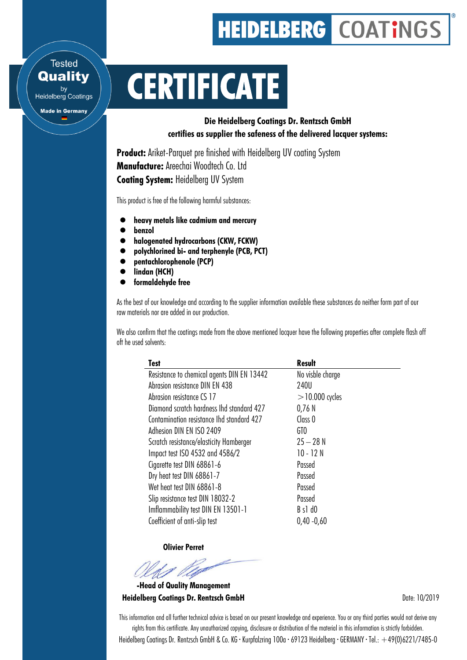## **HEIDELBERG COATINGS**

## **CERTIFICATE**

Die Heidelberg Coatings Dr. Rentzsch GmbH certifies as supplier the safeness of the delivered lacquer systems:

**Product:** Ariket-Parquet pre finished with Heidelberg UV coating System Manufacture: Areechai Woodtech Co. Ltd **Coating System: Heidelberg UV System** 

This product is free of the following harmful substances:

- heavy metals like cadmium and mercury
- benzol

**Tested Quality** 

by<br>Heidelberg Coatings

**Made in Germany** 

- halogenated hydrocarbons (CKW, FCKW)
- polychlorined bi- and terphenyle (PCB, PCT)
- pentachlorophenole (PCP)
- lindan (HCH)
- $\bullet$  formaldehyde free

As the best of our knowledge and according to the supplier information available these substances do neither form part of our raw materials nor are added in our production.

We also confirm that the coatings made from the above mentioned lacquer have the following properties after complete flash off oft he used solvents:

| Resistance to chemical agents DIN EN 13442<br>No visble charge<br>Abrasion resistance DIN EN 438<br>240U<br>$>$ 10.000 cycles<br>Abrasion resistance CS 17 | Test                                      | <b>Result</b> |
|------------------------------------------------------------------------------------------------------------------------------------------------------------|-------------------------------------------|---------------|
|                                                                                                                                                            |                                           |               |
|                                                                                                                                                            |                                           |               |
|                                                                                                                                                            |                                           |               |
|                                                                                                                                                            | Diamond scratch hardness Ihd standard 427 | 0,76N         |
| Class <sub>0</sub><br>Contamination resistance Ihd standard 427                                                                                            |                                           |               |
| Adhesion DIN EN ISO 2409<br>GTO                                                                                                                            |                                           |               |
| $25 - 28N$<br>Scratch resistance/elasticity Hamberger                                                                                                      |                                           |               |
| 10 - 12 N<br>Impact test ISO 4532 and 4586/2                                                                                                               |                                           |               |
| Cigarette test DIN 68861-6<br>Passed                                                                                                                       |                                           |               |
| Dry heat test DIN 68861-7<br>Passed                                                                                                                        |                                           |               |
| Wet heat test DIN 68861-8<br>Passed                                                                                                                        |                                           |               |
| Slip resistance test DIN 18032-2<br>Passed                                                                                                                 |                                           |               |
| Imflammability test DIN EN 13501-1<br>$B$ s1 $d0$                                                                                                          |                                           |               |
| Coefficient of anti-slip test<br>$0,40 - 0,60$                                                                                                             |                                           |               |

Olivier Perret

-Head of Quality Management **Heidelberg Coatings Dr. Rentzsch GmbH Date: 10/2019** Date: 10/2019

This information and all further technical advice is based on our present knowledge and experience. You or any third parties would not derive any rights from this certificate. Any unauthorized copying, disclosure or distribution of the material in this information is strictly forbidden.

Heidelberg Coatings Dr. Rentzsch GmbH & Co. KG · Kurpfalzring 100a · 69123 Heidelberg · GERMANY · Tel.: +49(0)6221/7485-0